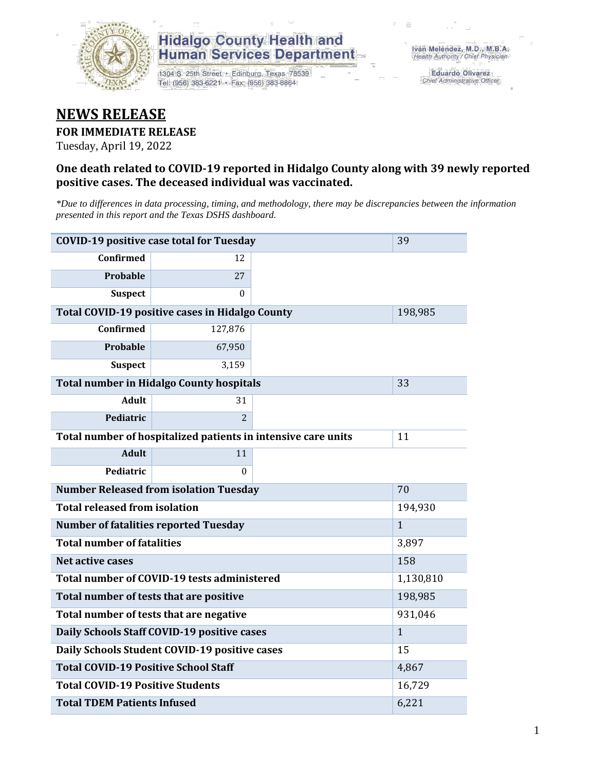

## **Hidalgo County Health and Human Services Department**

1304 S. 25th Street · Edinburg, Texas 78539 Tel: (956) 383-6221 · Fax: (956) 383-8864

**Eduardo Olivarez** Chief Administrative Officer

# **NEWS RELEASE**

#### **FOR IMMEDIATE RELEASE**

Tuesday, April 19, 2022

#### **One death related to COVID-19 reported in Hidalgo County along with 39 newly reported positive cases. The deceased individual was vaccinated.**

*\*Due to differences in data processing, timing, and methodology, there may be discrepancies between the information presented in this report and the Texas DSHS dashboard.*

| <b>COVID-19 positive case total for Tuesday</b>               | 39                                              |    |              |
|---------------------------------------------------------------|-------------------------------------------------|----|--------------|
| <b>Confirmed</b>                                              | 12                                              |    |              |
| Probable                                                      | 27                                              |    |              |
| <b>Suspect</b>                                                | $\Omega$                                        |    |              |
|                                                               | Total COVID-19 positive cases in Hidalgo County |    | 198,985      |
| Confirmed                                                     | 127,876                                         |    |              |
| Probable                                                      | 67,950                                          |    |              |
| <b>Suspect</b>                                                | 3,159                                           |    |              |
| <b>Total number in Hidalgo County hospitals</b>               |                                                 | 33 |              |
| <b>Adult</b>                                                  | 31                                              |    |              |
| Pediatric                                                     | $\overline{2}$                                  |    |              |
| Total number of hospitalized patients in intensive care units | 11                                              |    |              |
| <b>Adult</b>                                                  | 11                                              |    |              |
| Pediatric                                                     | $\Omega$                                        |    |              |
| <b>Number Released from isolation Tuesday</b>                 |                                                 | 70 |              |
| <b>Total released from isolation</b>                          | 194,930                                         |    |              |
| <b>Number of fatalities reported Tuesday</b>                  |                                                 |    | $\mathbf{1}$ |
| <b>Total number of fatalities</b>                             | 3,897                                           |    |              |
| Net active cases                                              |                                                 |    | 158          |
| Total number of COVID-19 tests administered                   | 1,130,810                                       |    |              |
| Total number of tests that are positive                       | 198,985                                         |    |              |
| Total number of tests that are negative                       | 931,046                                         |    |              |
| Daily Schools Staff COVID-19 positive cases                   | $\mathbf{1}$                                    |    |              |
| Daily Schools Student COVID-19 positive cases                 | 15                                              |    |              |
| <b>Total COVID-19 Positive School Staff</b>                   | 4,867                                           |    |              |
| <b>Total COVID-19 Positive Students</b>                       | 16,729                                          |    |              |
| <b>Total TDEM Patients Infused</b>                            | 6,221                                           |    |              |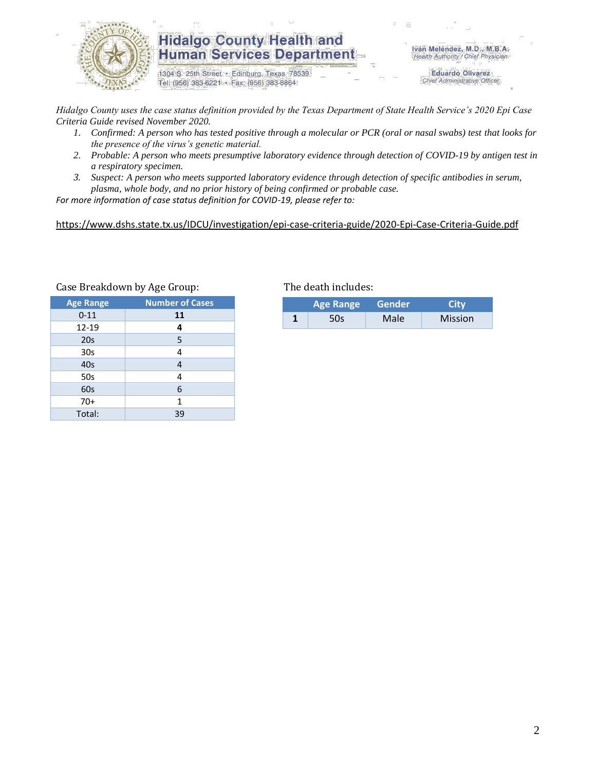

### **Hidalgo County Health and Human Services Department**

1304 S. 25th Street · Edinburg, Texas 78539 Tel: (956) 383-6221 · Fax: (956) 383-8864

Iván Meléndez, M.D., M.B.A. Health Authority / Chief Physician

> **Eduardo Olivarez** Chief Administrative Officer

*Hidalgo County uses the case status definition provided by the Texas Department of State Health Service's 2020 Epi Case Criteria Guide revised November 2020.*

- *1. Confirmed: A person who has tested positive through a molecular or PCR (oral or nasal swabs) test that looks for the presence of the virus's genetic material.*
- *2. Probable: A person who meets presumptive laboratory evidence through detection of COVID-19 by antigen test in a respiratory specimen.*
- *3. Suspect: A person who meets supported laboratory evidence through detection of specific antibodies in serum, plasma, whole body, and no prior history of being confirmed or probable case.*

*For more information of case status definition for COVID-19, please refer to:*

<https://www.dshs.state.tx.us/IDCU/investigation/epi-case-criteria-guide/2020-Epi-Case-Criteria-Guide.pdf>

| <b>Age Range</b> | <b>Number of Cases</b> |
|------------------|------------------------|
| $0 - 11$         | 11                     |
| 12-19            | 4                      |
| 20s              | 5                      |
| 30 <sub>s</sub>  | 4                      |
| 40s              | 4                      |
| 50s              | 4                      |
| 60s              | 6                      |
| $70+$            | 1                      |
| Total:           | 39                     |

#### Case Breakdown by Age Group: The death includes:

| <b>Age Range</b> |     | Gender            | City           |  |
|------------------|-----|-------------------|----------------|--|
|                  | 50s | Male <sup>®</sup> | <b>Mission</b> |  |